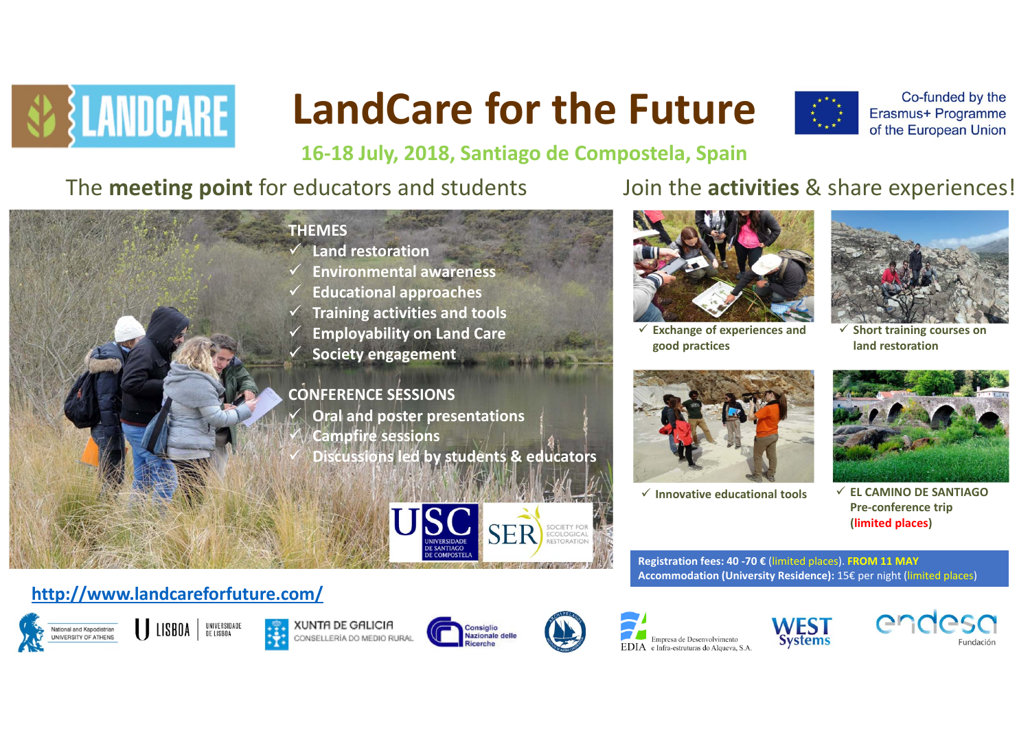

# **LandCare for the Future**



Co-funded by the Erasmus+ Programme of the European Union

# **16‐18 July, 2018, Santiago de Compostela, Spain**

# The **meeting point** for educators and students Join the **activities** & share experiences!





 **Exchange of experiences and good practices**



 **Short training courses on land restoration**



**Innovative educational tools EL CAMINO DE SANTIAGO**



**Pre‐conference trip (limited places)**

**Registration fees: 40 ‐70 €** (limited places). **FROM 11 MAY Accommodation (University Residence):** 15€ per night (limited places)





# **http://www.landcareforfuture.com/**













Empresa de Desenvolvimento EDIA e Infra-estruturas do Alqueva, S.A.